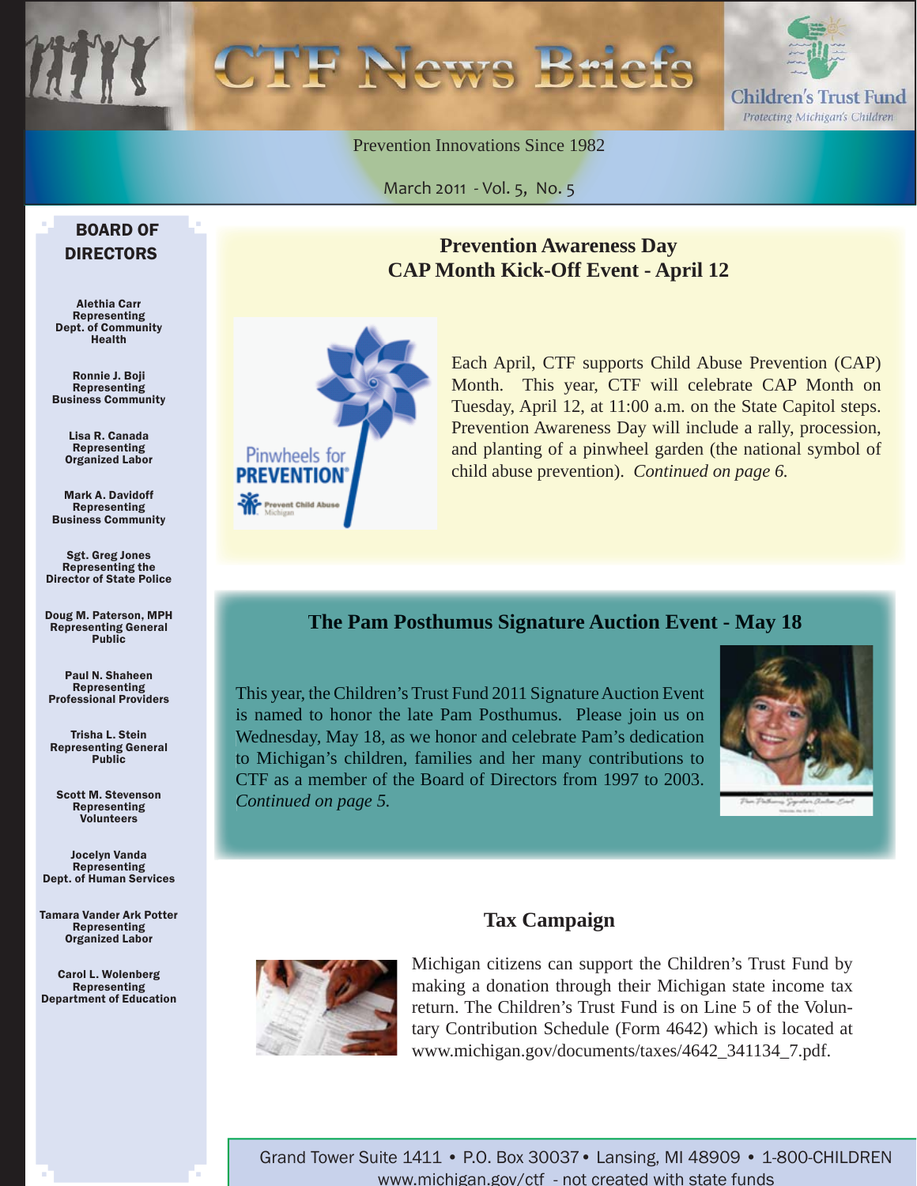

Prevention Innovations Since 1982

March 2011 - Vol. 5, No. 5

#### BOARD OF DIRECTORS

Alethia Carr Representing Dept. of Community Health

Ronnie J. Boji **Representing** Business Community

> Lisa R. Canada Representing Organized Labor

Mark A. Davidoff **Representing** Business Community

Sgt. Greg Jones Representing the Director of State Police

Doug M. Paterson, MPH Representing General Public

Paul N. Shaheen Representing Professional Providers

Trisha L. Stein Representing General Public

Scott M. Stevenson Representing Volunteers

Jocelyn Vanda Representing Dept. of Human Services

Tamara Vander Ark Potter Representing Organized Labor

Carol L. Wolenberg Representing Department of Education

### **Prevention Awareness Day CAP Month Kick-Off Event - April 12**



Each April, CTF supports Child Abuse Prevention (CAP) Month. This year, CTF will celebrate CAP Month on Tuesday, April 12, at 11:00 a.m. on the State Capitol steps. Prevention Awareness Day will include a rally, procession, and planting of a pinwheel garden (the national symbol of child abuse prevention). *Continued on page 6.* 

#### **The Pam Posthumus Signature Auction Event - May 18**

This year, the Children's Trust Fund 2011 Signature Auction Event is named to honor the late Pam Posthumus. Please join us on Wednesday, May 18, as we honor and celebrate Pam's dedication to Michigan's children, families and her many contributions to CTF as a member of the Board of Directors from 1997 to 2003. *Continued on page 5.*



### **Tax Campaign**



Michigan citizens can support the Children's Trust Fund by making a donation through their Michigan state income tax return. The Children's Trust Fund is on Line 5 of the Voluntary Contribution Schedule (Form 4642) which is located at www.michigan.gov/documents/taxes/4642\_341134\_7.pdf.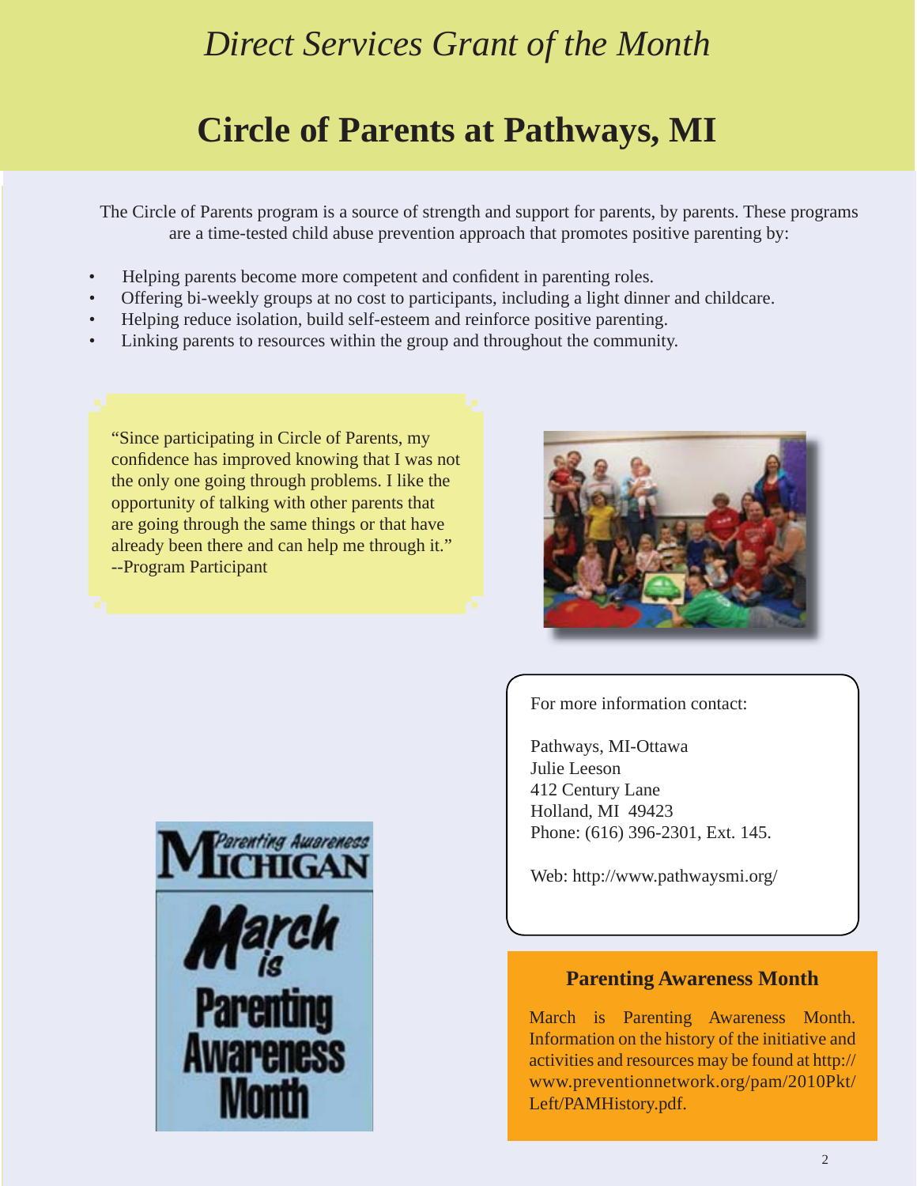# *Direct Services Grant of the Month*

# **Circle of Parents at Pathways, MI**

The Circle of Parents program is a source of strength and support for parents, by parents. These programs are a time-tested child abuse prevention approach that promotes positive parenting by:

- Helping parents become more competent and confident in parenting roles.
- Offering bi-weekly groups at no cost to participants, including a light dinner and childcare.
- Helping reduce isolation, build self-esteem and reinforce positive parenting.
- Linking parents to resources within the group and throughout the community.

"Since participating in Circle of Parents, my confidence has improved knowing that I was not the only one going through problems. I like the opportunity of talking with other parents that are going through the same things or that have already been there and can help me through it." --Program Participant



For more information contact:

Pathways, MI-Ottawa Julie Leeson 412 Century Lane Holland, MI 49423 Phone: (616) 396-2301, Ext. 145.

Web: http://www.pathwaysmi.org/

#### **Parenting Awareness Month**

March is Parenting Awareness Month. Information on the history of the initiative and activities and resources may be found at http:// [www.preventionnetwork.org/pam/2010Pkt/](www.preventionnetwork.org/pam/2010Pkt/Left/PAMHistory.pdf) Left/PAMHistory.pdf.

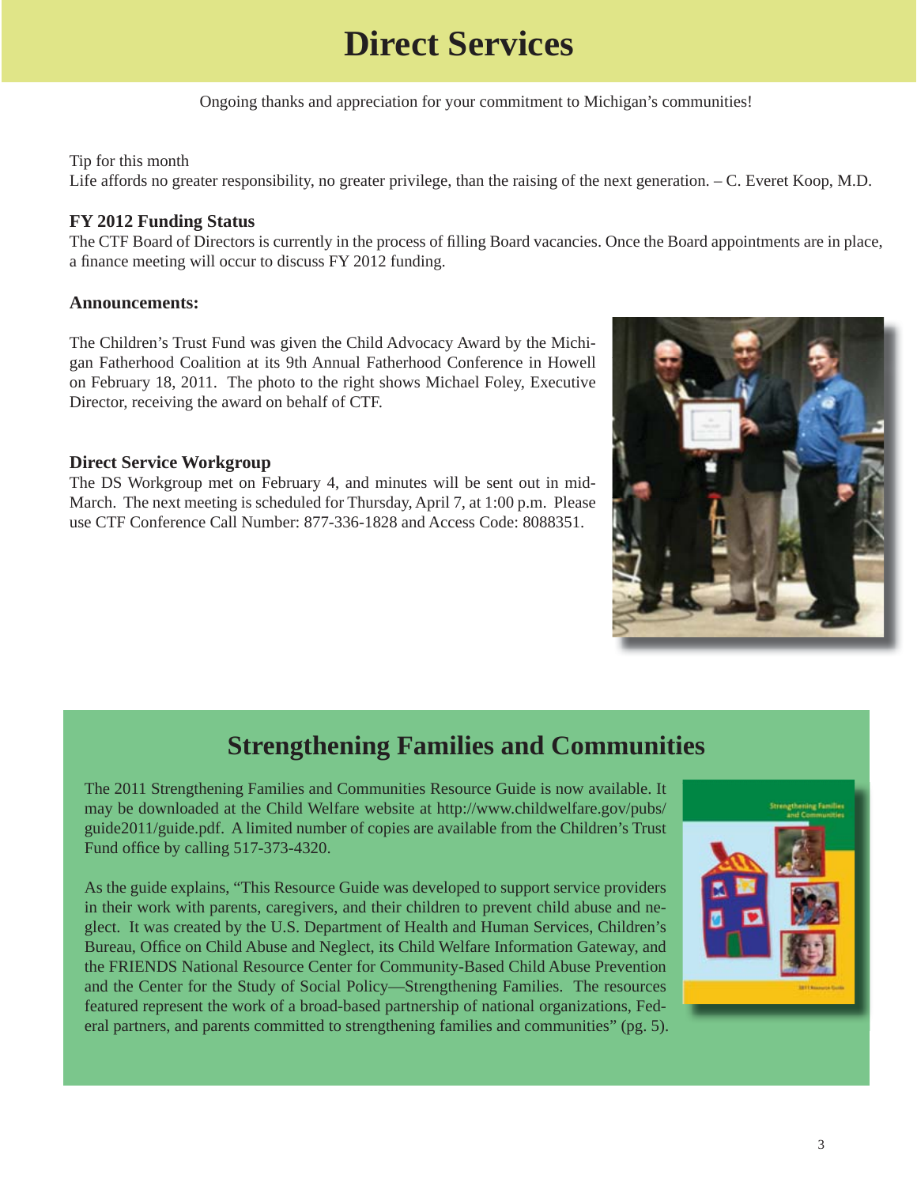# **Direct Services**

Ongoing thanks and appreciation for your commitment to Michigan's communities!

#### Tip for this month

Life affords no greater responsibility, no greater privilege, than the raising of the next generation. – C. Everet Koop, M.D.

#### **FY 2012 Funding Status**

The CTF Board of Directors is currently in the process of filling Board vacancies. Once the Board appointments are in place, a finance meeting will occur to discuss FY 2012 funding.

#### **Announcements:**

The Children's Trust Fund was given the Child Advocacy Award by the Michigan Fatherhood Coalition at its 9th Annual Fatherhood Conference in Howell on February 18, 2011. The photo to the right shows Michael Foley, Executive Director, receiving the award on behalf of CTF.

#### **Direct Service Workgroup**

The DS Workgroup met on February 4, and minutes will be sent out in mid-March. The next meeting is scheduled for Thursday, April 7, at 1:00 p.m. Please use CTF Conference Call Number: 877-336-1828 and Access Code: 8088351.



### **Strengthening Families and Communities**

The 2011 Strengthening Families and Communities Resource Guide is now available. It [may be downloaded at the Child Welfare website at http://www.childwelfare.gov/pubs/](http://www.childwelfare.gov/pubs/guide2011/guide.pdf) guide2011/guide.pdf. A limited number of copies are available from the Children's Trust Fund office by calling 517-373-4320.

As the guide explains, "This Resource Guide was developed to support service providers in their work with parents, caregivers, and their children to prevent child abuse and neglect. It was created by the U.S. Department of Health and Human Services, Children's Bureau, Office on Child Abuse and Neglect, its Child Welfare Information Gateway, and the FRIENDS National Resource Center for Community-Based Child Abuse Prevention and the Center for the Study of Social Policy—Strengthening Families. The resources featured represent the work of a broad-based partnership of national organizations, Federal partners, and parents committed to strengthening families and communities" (pg. 5).

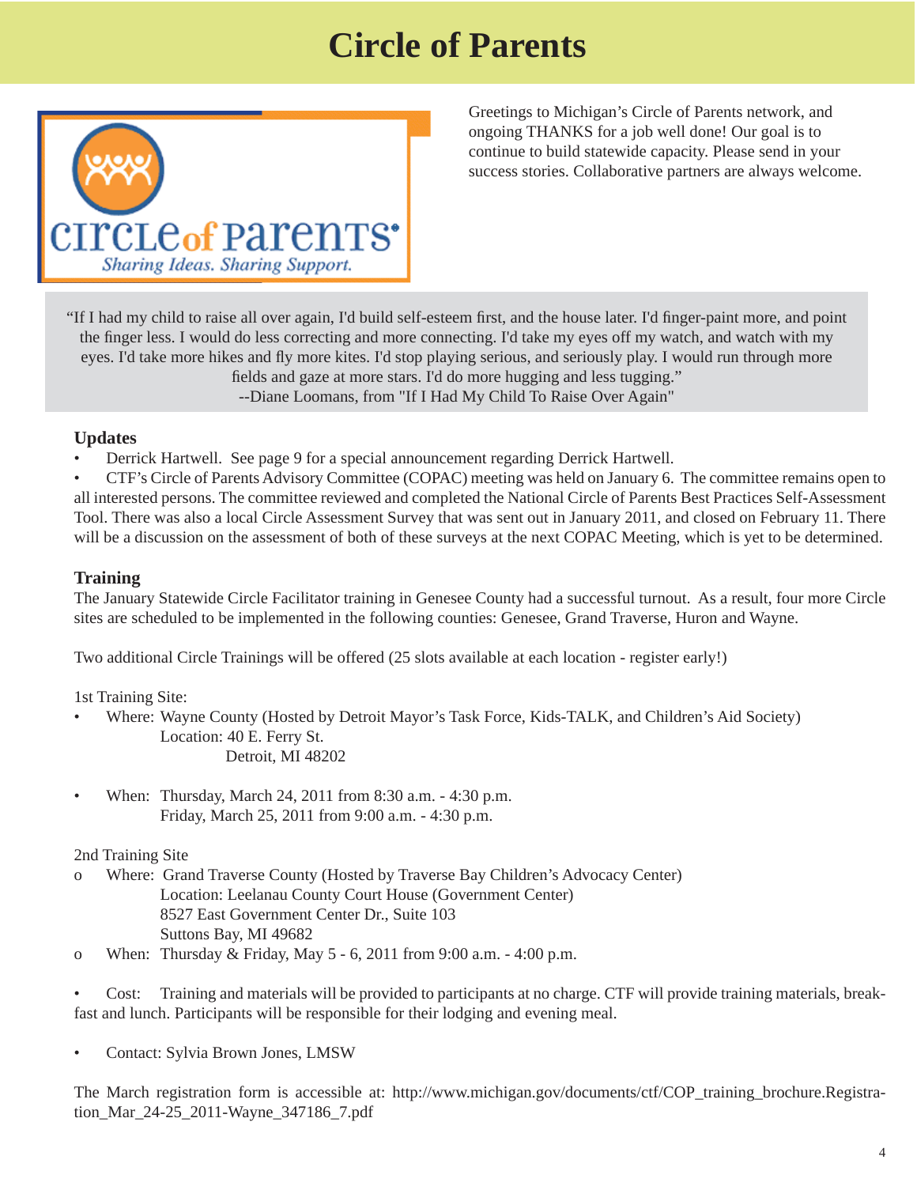# **Circle of Parents**



Greetings to Michigan's Circle of Parents network, and ongoing THANKS for a job well done! Our goal is to continue to build statewide capacity. Please send in your success stories. Collaborative partners are always welcome.

"If I had my child to raise all over again, I'd build self-esteem first, and the house later. I'd finger-paint more, and point the finger less. I would do less correcting and more connecting. I'd take my eyes off my watch, and watch with my eyes. I'd take more hikes and fly more kites. I'd stop playing serious, and seriously play. I would run through more fields and gaze at more stars. I'd do more hugging and less tugging." --Diane Loomans, from "If I Had My Child To Raise Over Again"

#### **Updates**

• Derrick Hartwell. See page 9 for a special announcement regarding Derrick Hartwell.

• CTF's Circle of Parents Advisory Committee (COPAC) meeting was held on January 6. The committee remains open to all interested persons. The committee reviewed and completed the National Circle of Parents Best Practices Self-Assessment Tool. There was also a local Circle Assessment Survey that was sent out in January 2011, and closed on February 11. There will be a discussion on the assessment of both of these surveys at the next COPAC Meeting, which is yet to be determined.

#### **Training**

The January Statewide Circle Facilitator training in Genesee County had a successful turnout. As a result, four more Circle sites are scheduled to be implemented in the following counties: Genesee, Grand Traverse, Huron and Wayne.

Two additional Circle Trainings will be offered (25 slots available at each location - register early!)

1st Training Site:

- Where: Wayne County (Hosted by Detroit Mayor's Task Force, Kids-TALK, and Children's Aid Society) Location: 40 E. Ferry St. Detroit, MI 48202
- When: Thursday, March 24, 2011 from 8:30 a.m. 4:30 p.m. Friday, March 25, 2011 from 9:00 a.m. - 4:30 p.m.

#### 2nd Training Site

- o Where: Grand Traverse County (Hosted by Traverse Bay Children's Advocacy Center) Location: Leelanau County Court House (Government Center) 8527 East Government Center Dr., Suite 103 Suttons Bay, MI 49682
- o When: Thursday & Friday, May 5 6, 2011 from 9:00 a.m. 4:00 p.m.

• Cost: Training and materials will be provided to participants at no charge. CTF will provide training materials, breakfast and lunch. Participants will be responsible for their lodging and evening meal.

• Contact: Sylvia Brown Jones, LMSW

The March registration form is accessible at: http://www.michigan.gov/documents/ctf/COP\_training\_brochure.Registration\_Mar\_24-25\_2011-Wayne\_347186\_7.pdf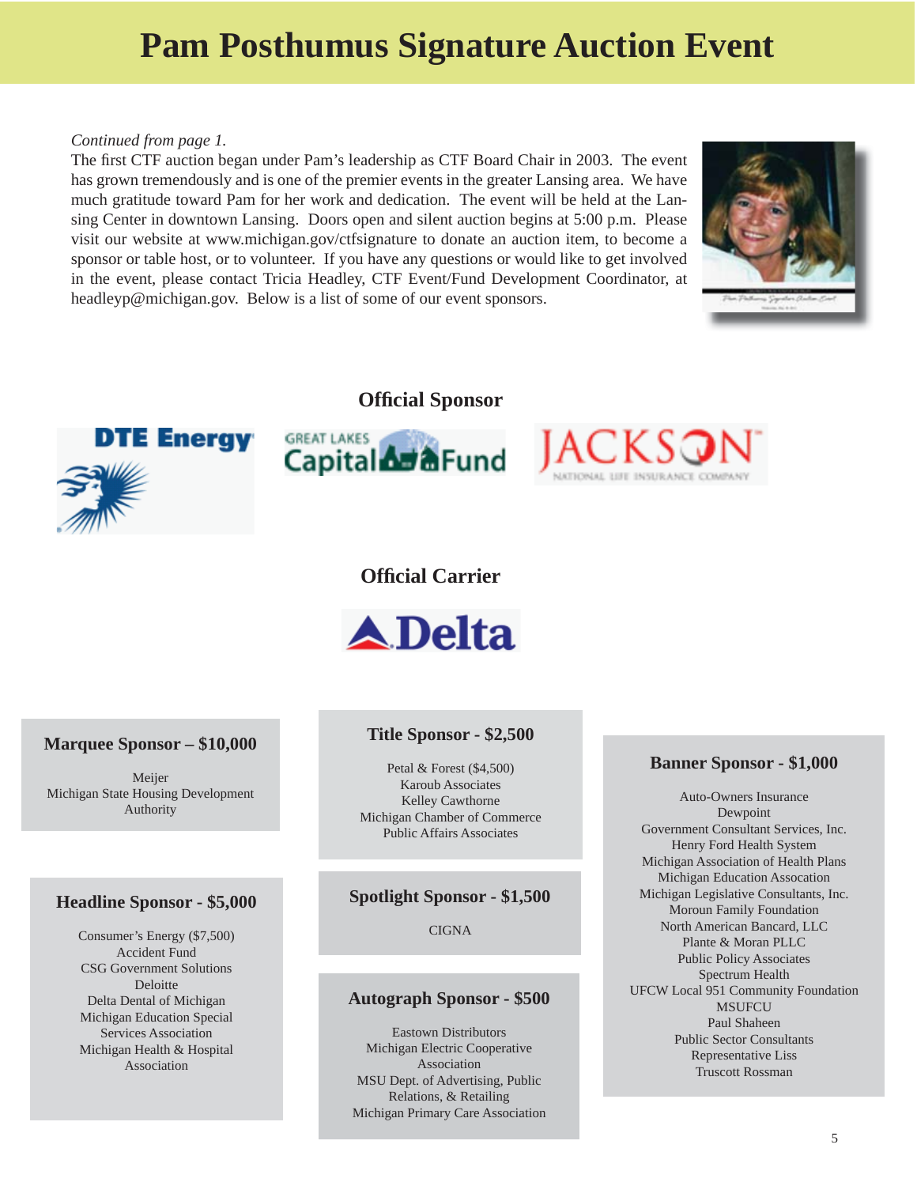# **Pam Posthumus Signature Auction Event**

#### *Continued from page 1.*

The first CTF auction began under Pam's leadership as CTF Board Chair in 2003. The event has grown tremendously and is one of the premier events in the greater Lansing area. We have much gratitude toward Pam for her work and dedication. The event will be held at the Lansing Center in downtown Lansing. Doors open and silent auction begins at 5:00 p.m. Please visit our website at www.michigan.gov/ctfsignature to donate an auction item, to become a sponsor or table host, or to volunteer. If you have any questions or would like to get involved in the event, please contact Tricia Headley, CTF Event/Fund Development Coordinator, at headleyp@michigan.gov. Below is a list of some of our event sponsors.



#### **Offi cial Sponsor**







#### **Offi cial Carrier**



#### **Marquee Sponsor – \$10,000**

Meijer Michigan State Housing Development Authority

#### **Headline Sponsor - \$5,000**

Consumer's Energy (\$7,500) Accident Fund CSG Government Solutions **Deloitte** Delta Dental of Michigan Michigan Education Special Services Association Michigan Health & Hospital Association

#### **Title Sponsor - \$2,500**

Petal & Forest (\$4,500) Karoub Associates Kelley Cawthorne Michigan Chamber of Commerce Public Affairs Associates

#### **Spotlight Sponsor - \$1,500**

**CIGNA** 

#### **Autograph Sponsor - \$500**

Eastown Distributors Michigan Electric Cooperative Association MSU Dept. of Advertising, Public Relations, & Retailing Michigan Primary Care Association

#### **Banner Sponsor - \$1,000**

Auto-Owners Insurance Dewpoint Government Consultant Services, Inc. Henry Ford Health System Michigan Association of Health Plans Michigan Education Assocation Michigan Legislative Consultants, Inc. Moroun Family Foundation North American Bancard, LLC Plante & Moran PLLC Public Policy Associates Spectrum Health UFCW Local 951 Community Foundation MSUFCU Paul Shaheen Public Sector Consultants Representative Liss Truscott Rossman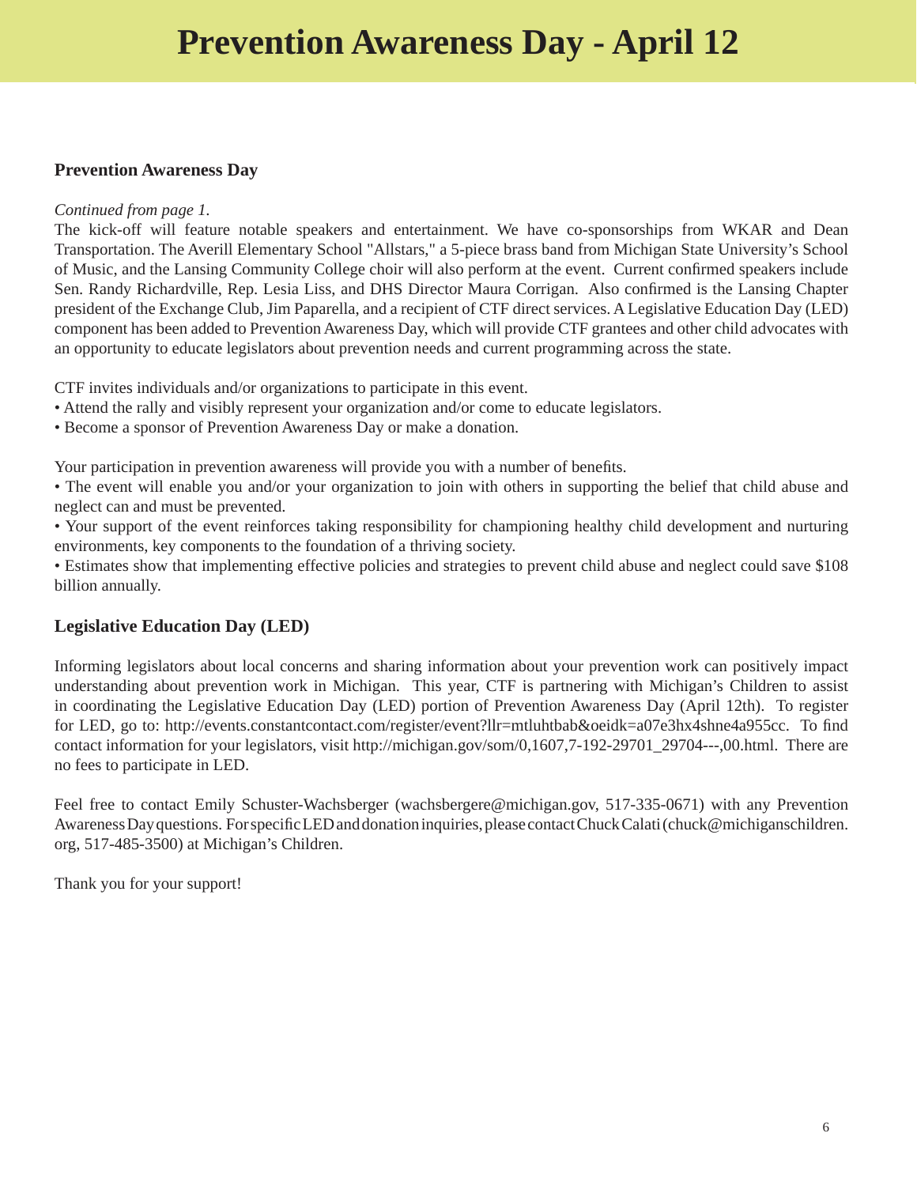#### **Prevention Awareness Day**

#### *Continued from page 1.*

The kick-off will feature notable speakers and entertainment. We have co-sponsorships from WKAR and Dean Transportation. The Averill Elementary School "Allstars," a 5-piece brass band from Michigan State University's School of Music, and the Lansing Community College choir will also perform at the event. Current confirmed speakers include Sen. Randy Richardville, Rep. Lesia Liss, and DHS Director Maura Corrigan. Also confirmed is the Lansing Chapter president of the Exchange Club, Jim Paparella, and a recipient of CTF direct services. A Legislative Education Day (LED) component has been added to Prevention Awareness Day, which will provide CTF grantees and other child advocates with an opportunity to educate legislators about prevention needs and current programming across the state.

CTF invites individuals and/or organizations to participate in this event.

- Attend the rally and visibly represent your organization and/or come to educate legislators.
- Become a sponsor of Prevention Awareness Day or make a donation.

Your participation in prevention awareness will provide you with a number of benefits.

• The event will enable you and/or your organization to join with others in supporting the belief that child abuse and neglect can and must be prevented.

• Your support of the event reinforces taking responsibility for championing healthy child development and nurturing environments, key components to the foundation of a thriving society.

• Estimates show that implementing effective policies and strategies to prevent child abuse and neglect could save \$108 billion annually.

#### **Legislative Education Day (LED)**

Informing legislators about local concerns and sharing information about your prevention work can positively impact understanding about prevention work in Michigan. This year, CTF is partnering with Michigan's Children to assist in coordinating the Legislative Education Day (LED) portion of Prevention Awareness Day (April 12th). To register for LED, go to: http://events.constantcontact.com/register/event?llr=mtluhtbab&oeidk=a07e3hx4shne4a955cc. To find contact information for your legislators, visit [http://michigan.gov/som/0,1607,7-192-29701\\_29704---,00.html](http://michigan.gov/som/0,1607,7-192-29701_29704---,00.html). There are no fees to participate in LED.

Feel free to contact Emily Schuster-Wachsberger (wachsbergere@michigan.gov, 517-335-0671) with any Prevention Awareness Day questions. For specific LED and donation inquiries, please contact Chuck Calati (chuck@michiganschildren. org, 517-485-3500) at Michigan's Children.

Thank you for your support!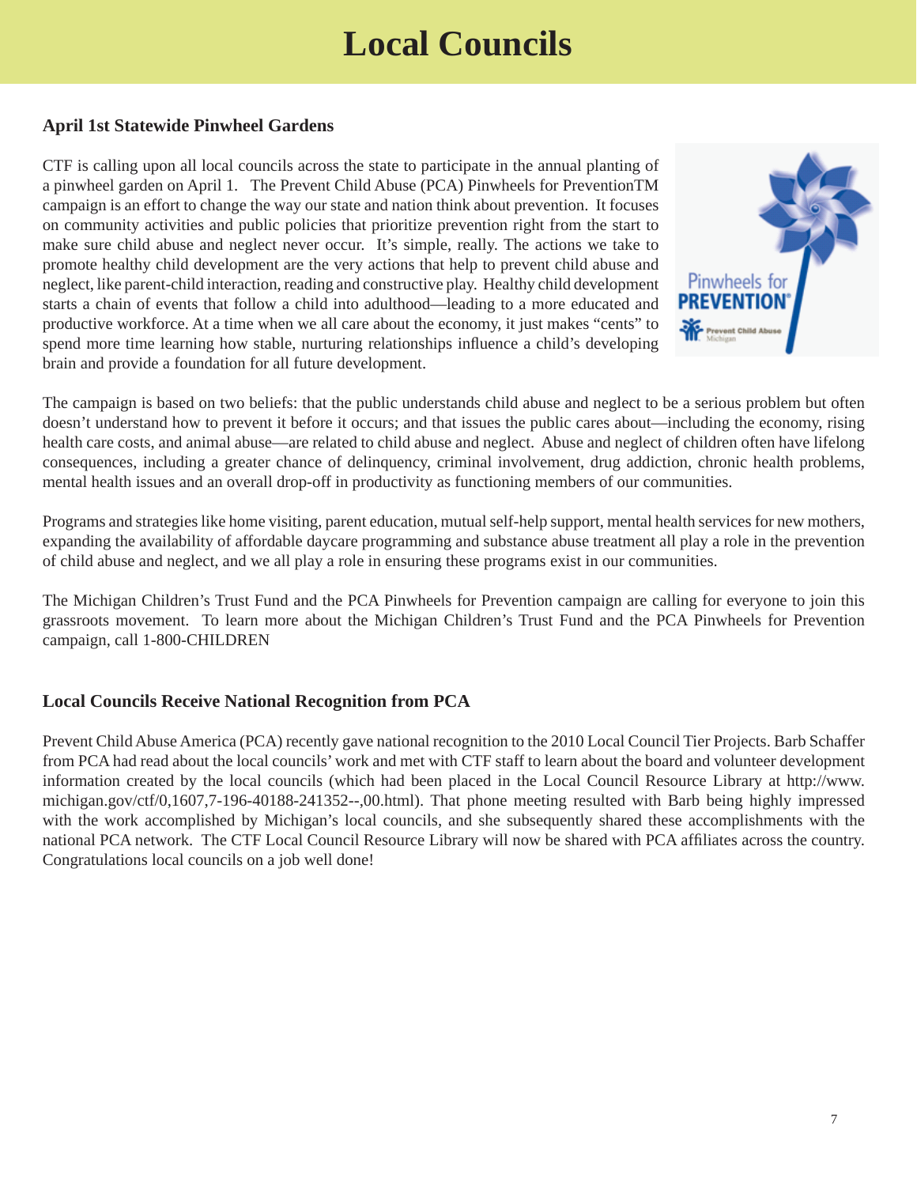# **Local Councils**

#### **April 1st Statewide Pinwheel Gardens**

CTF is calling upon all local councils across the state to participate in the annual planting of a pinwheel garden on April 1. The Prevent Child Abuse (PCA) Pinwheels for PreventionTM campaign is an effort to change the way our state and nation think about prevention. It focuses on community activities and public policies that prioritize prevention right from the start to make sure child abuse and neglect never occur. It's simple, really. The actions we take to promote healthy child development are the very actions that help to prevent child abuse and neglect, like parent-child interaction, reading and constructive play. Healthy child development starts a chain of events that follow a child into adulthood—leading to a more educated and productive workforce. At a time when we all care about the economy, it just makes "cents" to spend more time learning how stable, nurturing relationships influence a child's developing brain and provide a foundation for all future development.



The campaign is based on two beliefs: that the public understands child abuse and neglect to be a serious problem but often doesn't understand how to prevent it before it occurs; and that issues the public cares about—including the economy, rising health care costs, and animal abuse—are related to child abuse and neglect. Abuse and neglect of children often have lifelong consequences, including a greater chance of delinquency, criminal involvement, drug addiction, chronic health problems, mental health issues and an overall drop-off in productivity as functioning members of our communities.

Programs and strategies like home visiting, parent education, mutual self-help support, mental health services for new mothers, expanding the availability of affordable daycare programming and substance abuse treatment all play a role in the prevention of child abuse and neglect, and we all play a role in ensuring these programs exist in our communities.

The Michigan Children's Trust Fund and the PCA Pinwheels for Prevention campaign are calling for everyone to join this grassroots movement. To learn more about the Michigan Children's Trust Fund and the PCA Pinwheels for Prevention campaign, call 1-800-CHILDREN

#### **Local Councils Receive National Recognition from PCA**

Prevent Child Abuse America (PCA) recently gave national recognition to the 2010 Local Council Tier Projects. Barb Schaffer from PCA had read about the local councils' work and met with CTF staff to learn about the board and volunteer development information created by the local councils (which had been placed in the Local Council Resource Library at http://www. [michigan.gov/ctf/0,1607,7-196-40188-241352--,00.html\). That phone meeting resulted with Barb being highly impressed](www.michigan.gov/ctf/0,1607,7-196-40188-241352--,00.html)  with the work accomplished by Michigan's local councils, and she subsequently shared these accomplishments with the national PCA network. The CTF Local Council Resource Library will now be shared with PCA affiliates across the country. Congratulations local councils on a job well done!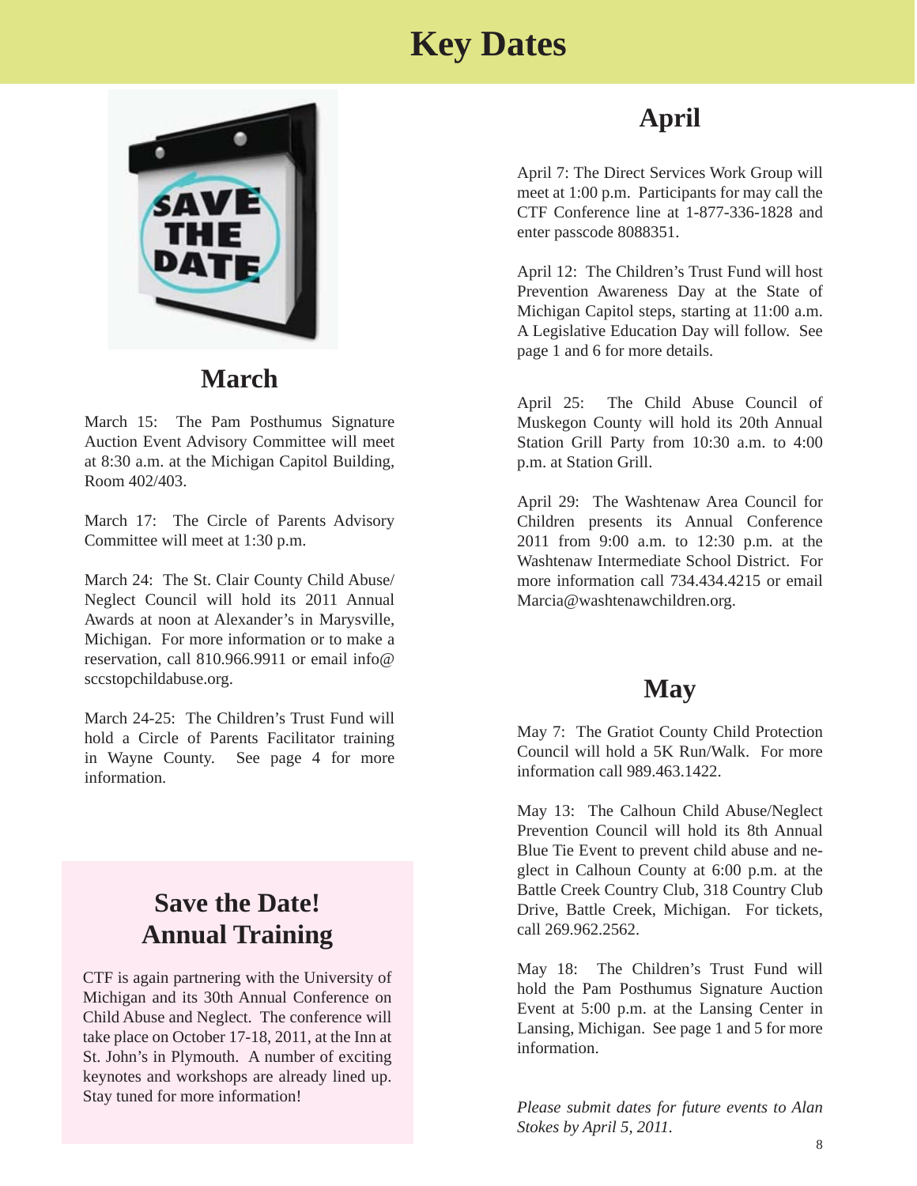### **Key Dates**



### **March**

March 15: The Pam Posthumus Signature Auction Event Advisory Committee will meet at 8:30 a.m. at the Michigan Capitol Building, Room 402/403.

March 17: The Circle of Parents Advisory Committee will meet at 1:30 p.m.

March 24: The St. Clair County Child Abuse/ Neglect Council will hold its 2011 Annual Awards at noon at Alexander's in Marysville, Michigan. For more information or to make a reservation, call 810.966.9911 or email info@ sccstopchildabuse.org.

March 24-25: The Children's Trust Fund will hold a Circle of Parents Facilitator training in Wayne County. See page 4 for more information.

### **Save the Date! Annual Training**

CTF is again partnering with the University of Michigan and its 30th Annual Conference on Child Abuse and Neglect. The conference will take place on October 17-18, 2011, at the Inn at St. John's in Plymouth. A number of exciting keynotes and workshops are already lined up. Stay tuned for more information!

### **April**

April 7: The Direct Services Work Group will meet at 1:00 p.m. Participants for may call the CTF Conference line at 1-877-336-1828 and enter passcode 8088351.

April 12: The Children's Trust Fund will host Prevention Awareness Day at the State of Michigan Capitol steps, starting at 11:00 a.m. A Legislative Education Day will follow. See page 1 and 6 for more details.

April 25: The Child Abuse Council of Muskegon County will hold its 20th Annual Station Grill Party from 10:30 a.m. to 4:00 p.m. at Station Grill.

April 29: The Washtenaw Area Council for Children presents its Annual Conference 2011 from 9:00 a.m. to 12:30 p.m. at the Washtenaw Intermediate School District. For more information call 734.434.4215 or email Marcia@washtenawchildren.org.

### **May**

May 7: The Gratiot County Child Protection Council will hold a 5K Run/Walk. For more information call 989.463.1422.

May 13: The Calhoun Child Abuse/Neglect Prevention Council will hold its 8th Annual Blue Tie Event to prevent child abuse and neglect in Calhoun County at 6:00 p.m. at the Battle Creek Country Club, 318 Country Club Drive, Battle Creek, Michigan. For tickets, call 269.962.2562.

May 18: The Children's Trust Fund will hold the Pam Posthumus Signature Auction Event at 5:00 p.m. at the Lansing Center in Lansing, Michigan. See page 1 and 5 for more information.

*Please submit dates for future events to Alan Stokes by April 5, 2011.*